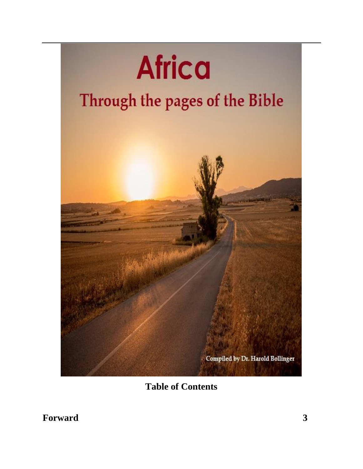

**Table of Contents**

**Forward 3**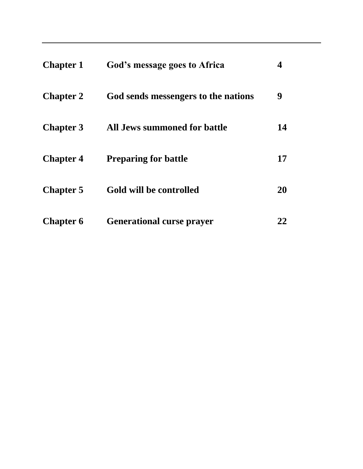| <b>Chapter 1</b> | God's message goes to Africa        | 4  |
|------------------|-------------------------------------|----|
| <b>Chapter 2</b> | God sends messengers to the nations | 9  |
| <b>Chapter 3</b> | <b>All Jews summoned for battle</b> | 14 |
| <b>Chapter 4</b> | <b>Preparing for battle</b>         | 17 |
| <b>Chapter 5</b> | Gold will be controlled             | 20 |
| <b>Chapter 6</b> | <b>Generational curse prayer</b>    | 22 |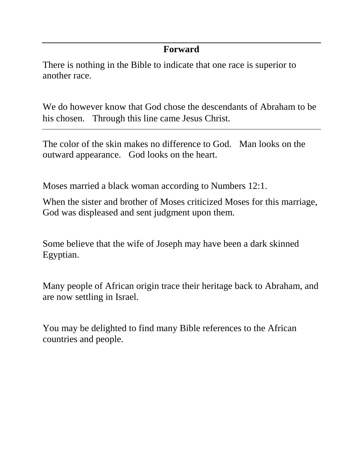## **Forward**

There is nothing in the Bible to indicate that one race is superior to another race.

We do however know that God chose the descendants of Abraham to be his chosen. Through this line came Jesus Christ.

The color of the skin makes no difference to God. Man looks on the outward appearance. God looks on the heart.

Moses married a black woman according to Numbers 12:1.

When the sister and brother of Moses criticized Moses for this marriage, God was displeased and sent judgment upon them.

Some believe that the wife of Joseph may have been a dark skinned Egyptian.

Many people of African origin trace their heritage back to Abraham, and are now settling in Israel.

You may be delighted to find many Bible references to the African countries and people.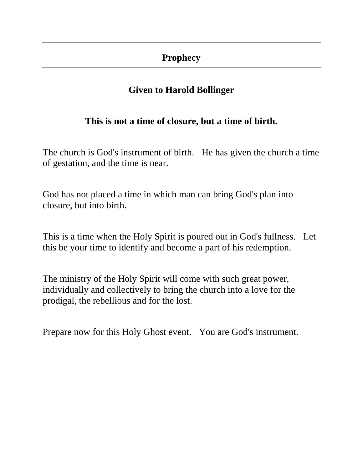## **Prophecy**

# **Given to Harold Bollinger**

# **This is not a time of closure, but a time of birth.**

The church is God's instrument of birth. He has given the church a time of gestation, and the time is near.

God has not placed a time in which man can bring God's plan into closure, but into birth.

This is a time when the Holy Spirit is poured out in God's fullness. Let this be your time to identify and become a part of his redemption.

The ministry of the Holy Spirit will come with such great power, individually and collectively to bring the church into a love for the prodigal, the rebellious and for the lost.

Prepare now for this Holy Ghost event. You are God's instrument.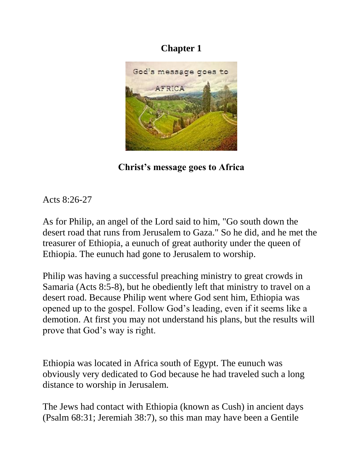

**Christ's message goes to Africa**

Acts 8:26-27

As for Philip, an angel of the Lord said to him, "Go south down the desert road that runs from Jerusalem to Gaza." So he did, and he met the treasurer of Ethiopia, a eunuch of great authority under the queen of Ethiopia. The eunuch had gone to Jerusalem to worship.

Philip was having a successful preaching ministry to great crowds in Samaria (Acts 8:5-8), but he obediently left that ministry to travel on a desert road. Because Philip went where God sent him, Ethiopia was opened up to the gospel. Follow God's leading, even if it seems like a demotion. At first you may not understand his plans, but the results will prove that God's way is right.

Ethiopia was located in Africa south of Egypt. The eunuch was obviously very dedicated to God because he had traveled such a long distance to worship in Jerusalem.

The Jews had contact with Ethiopia (known as Cush) in ancient days (Psalm 68:31; Jeremiah 38:7), so this man may have been a Gentile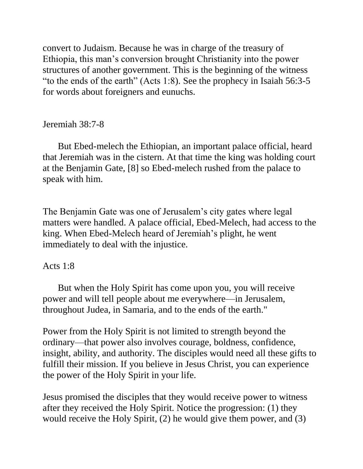convert to Judaism. Because he was in charge of the treasury of Ethiopia, this man's conversion brought Christianity into the power structures of another government. This is the beginning of the witness "to the ends of the earth" (Acts 1:8). See the prophecy in Isaiah 56:3-5 for words about foreigners and eunuchs.

Jeremiah 38:7-8

 But Ebed-melech the Ethiopian, an important palace official, heard that Jeremiah was in the cistern. At that time the king was holding court at the Benjamin Gate, [8] so Ebed-melech rushed from the palace to speak with him.

The Benjamin Gate was one of Jerusalem's city gates where legal matters were handled. A palace official, Ebed-Melech, had access to the king. When Ebed-Melech heard of Jeremiah's plight, he went immediately to deal with the injustice.

#### Acts 1:8

 But when the Holy Spirit has come upon you, you will receive power and will tell people about me everywhere—in Jerusalem, throughout Judea, in Samaria, and to the ends of the earth."

Power from the Holy Spirit is not limited to strength beyond the ordinary—that power also involves courage, boldness, confidence, insight, ability, and authority. The disciples would need all these gifts to fulfill their mission. If you believe in Jesus Christ, you can experience the power of the Holy Spirit in your life.

Jesus promised the disciples that they would receive power to witness after they received the Holy Spirit. Notice the progression: (1) they would receive the Holy Spirit, (2) he would give them power, and (3)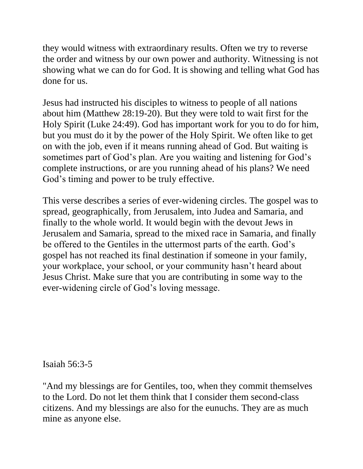they would witness with extraordinary results. Often we try to reverse the order and witness by our own power and authority. Witnessing is not showing what we can do for God. It is showing and telling what God has done for us.

Jesus had instructed his disciples to witness to people of all nations about him (Matthew 28:19-20). But they were told to wait first for the Holy Spirit (Luke 24:49). God has important work for you to do for him, but you must do it by the power of the Holy Spirit. We often like to get on with the job, even if it means running ahead of God. But waiting is sometimes part of God's plan. Are you waiting and listening for God's complete instructions, or are you running ahead of his plans? We need God's timing and power to be truly effective.

This verse describes a series of ever-widening circles. The gospel was to spread, geographically, from Jerusalem, into Judea and Samaria, and finally to the whole world. It would begin with the devout Jews in Jerusalem and Samaria, spread to the mixed race in Samaria, and finally be offered to the Gentiles in the uttermost parts of the earth. God's gospel has not reached its final destination if someone in your family, your workplace, your school, or your community hasn't heard about Jesus Christ. Make sure that you are contributing in some way to the ever-widening circle of God's loving message.

Isaiah 56:3-5

"And my blessings are for Gentiles, too, when they commit themselves to the Lord. Do not let them think that I consider them second-class citizens. And my blessings are also for the eunuchs. They are as much mine as anyone else.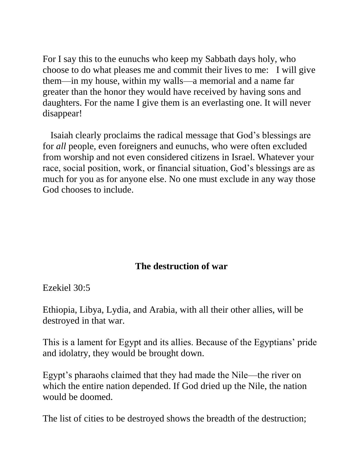For I say this to the eunuchs who keep my Sabbath days holy, who choose to do what pleases me and commit their lives to me: I will give them—in my house, within my walls—a memorial and a name far greater than the honor they would have received by having sons and daughters. For the name I give them is an everlasting one. It will never disappear!

Isaiah clearly proclaims the radical message that God's blessings are for *all* people, even foreigners and eunuchs, who were often excluded from worship and not even considered citizens in Israel. Whatever your race, social position, work, or financial situation, God's blessings are as much for you as for anyone else. No one must exclude in any way those God chooses to include.

#### **The destruction of war**

Ezekiel 30:5

Ethiopia, Libya, Lydia, and Arabia, with all their other allies, will be destroyed in that war.

This is a lament for Egypt and its allies. Because of the Egyptians' pride and idolatry, they would be brought down.

Egypt's pharaohs claimed that they had made the Nile—the river on which the entire nation depended. If God dried up the Nile, the nation would be doomed.

The list of cities to be destroyed shows the breadth of the destruction;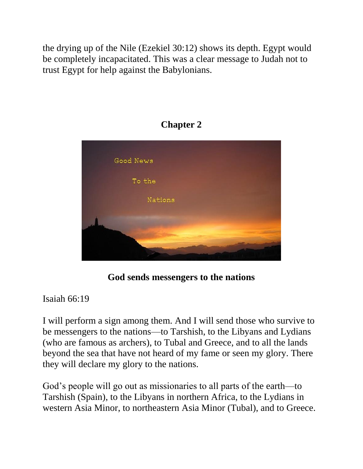the drying up of the Nile (Ezekiel 30:12) shows its depth. Egypt would be completely incapacitated. This was a clear message to Judah not to trust Egypt for help against the Babylonians.



# **Chapter 2**

**God sends messengers to the nations**

Isaiah 66:19

I will perform a sign among them. And I will send those who survive to be messengers to the nations—to Tarshish, to the Libyans and Lydians (who are famous as archers), to Tubal and Greece, and to all the lands beyond the sea that have not heard of my fame or seen my glory. There they will declare my glory to the nations.

God's people will go out as missionaries to all parts of the earth—to Tarshish (Spain), to the Libyans in northern Africa, to the Lydians in western Asia Minor, to northeastern Asia Minor (Tubal), and to Greece.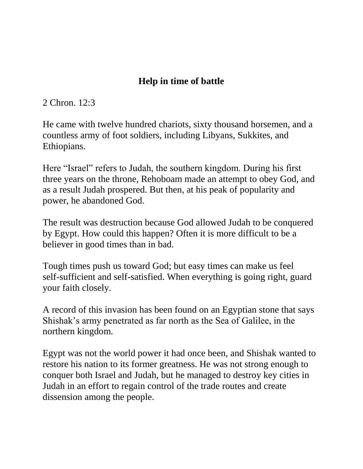# **Help in time of battle**

2 Chron. 12:3

He came with twelve hundred chariots, sixty thousand horsemen, and a countless army of foot soldiers, including Libyans, Sukkites, and Ethiopians.

Here "Israel" refers to Judah, the southern kingdom. During his first three years on the throne, Rehoboam made an attempt to obey God, and as a result Judah prospered. But then, at his peak of popularity and power, he abandoned God.

The result was destruction because God allowed Judah to be conquered by Egypt. How could this happen? Often it is more difficult to be a believer in good times than in bad.

Tough times push us toward God; but easy times can make us feel self-sufficient and self-satisfied. When everything is going right, guard your faith closely.

A record of this invasion has been found on an Egyptian stone that says Shishak's army penetrated as far north as the Sea of Galilee, in the northern kingdom.

Egypt was not the world power it had once been, and Shishak wanted to restore his nation to its former greatness. He was not strong enough to conquer both Israel and Judah, but he managed to destroy key cities in Judah in an effort to regain control of the trade routes and create dissension among the people.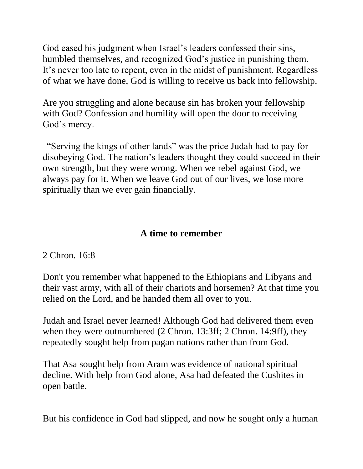God eased his judgment when Israel's leaders confessed their sins, humbled themselves, and recognized God's justice in punishing them. It's never too late to repent, even in the midst of punishment. Regardless of what we have done, God is willing to receive us back into fellowship.

Are you struggling and alone because sin has broken your fellowship with God? Confession and humility will open the door to receiving God's mercy.

"Serving the kings of other lands" was the price Judah had to pay for disobeying God. The nation's leaders thought they could succeed in their own strength, but they were wrong. When we rebel against God, we always pay for it. When we leave God out of our lives, we lose more spiritually than we ever gain financially.

# **A time to remember**

2 Chron. 16:8

Don't you remember what happened to the Ethiopians and Libyans and their vast army, with all of their chariots and horsemen? At that time you relied on the Lord, and he handed them all over to you.

Judah and Israel never learned! Although God had delivered them even when they were outnumbered (2 Chron. 13:3ff; 2 Chron. 14:9ff), they repeatedly sought help from pagan nations rather than from God.

That Asa sought help from Aram was evidence of national spiritual decline. With help from God alone, Asa had defeated the Cushites in open battle.

But his confidence in God had slipped, and now he sought only a human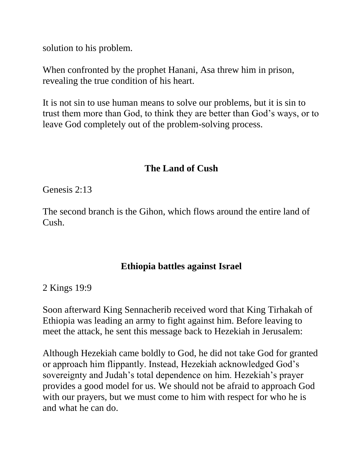solution to his problem.

When confronted by the prophet Hanani, Asa threw him in prison, revealing the true condition of his heart.

It is not sin to use human means to solve our problems, but it is sin to trust them more than God, to think they are better than God's ways, or to leave God completely out of the problem-solving process.

# **The Land of Cush**

Genesis 2:13

The second branch is the Gihon, which flows around the entire land of Cush.

## **Ethiopia battles against Israel**

2 Kings 19:9

Soon afterward King Sennacherib received word that King Tirhakah of Ethiopia was leading an army to fight against him. Before leaving to meet the attack, he sent this message back to Hezekiah in Jerusalem:

Although Hezekiah came boldly to God, he did not take God for granted or approach him flippantly. Instead, Hezekiah acknowledged God's sovereignty and Judah's total dependence on him. Hezekiah's prayer provides a good model for us. We should not be afraid to approach God with our prayers, but we must come to him with respect for who he is and what he can do.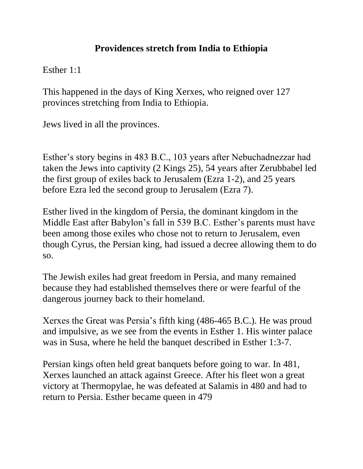# **Providences stretch from India to Ethiopia**

Esther 1:1

This happened in the days of King Xerxes, who reigned over 127 provinces stretching from India to Ethiopia.

Jews lived in all the provinces.

Esther's story begins in 483 B.C., 103 years after Nebuchadnezzar had taken the Jews into captivity (2 Kings 25), 54 years after Zerubbabel led the first group of exiles back to Jerusalem (Ezra 1-2), and 25 years before Ezra led the second group to Jerusalem (Ezra 7).

Esther lived in the kingdom of Persia, the dominant kingdom in the Middle East after Babylon's fall in 539 B.C. Esther's parents must have been among those exiles who chose not to return to Jerusalem, even though Cyrus, the Persian king, had issued a decree allowing them to do so.

The Jewish exiles had great freedom in Persia, and many remained because they had established themselves there or were fearful of the dangerous journey back to their homeland.

Xerxes the Great was Persia's fifth king (486-465 B.C.). He was proud and impulsive, as we see from the events in Esther 1. His winter palace was in Susa, where he held the banquet described in Esther 1:3-7.

Persian kings often held great banquets before going to war. In 481, Xerxes launched an attack against Greece. After his fleet won a great victory at Thermopylae, he was defeated at Salamis in 480 and had to return to Persia. Esther became queen in 479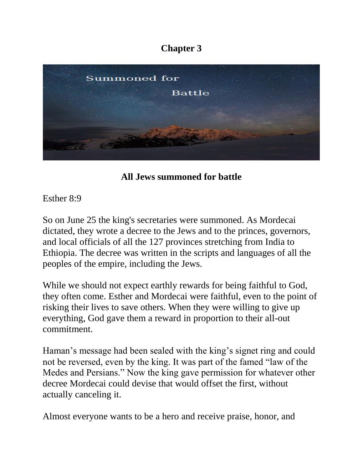

**All Jews summoned for battle**

Esther 8:9

So on June 25 the king's secretaries were summoned. As Mordecai dictated, they wrote a decree to the Jews and to the princes, governors, and local officials of all the 127 provinces stretching from India to Ethiopia. The decree was written in the scripts and languages of all the peoples of the empire, including the Jews.

While we should not expect earthly rewards for being faithful to God, they often come. Esther and Mordecai were faithful, even to the point of risking their lives to save others. When they were willing to give up everything, God gave them a reward in proportion to their all-out commitment.

Haman's message had been sealed with the king's signet ring and could not be reversed, even by the king. It was part of the famed "law of the Medes and Persians." Now the king gave permission for whatever other decree Mordecai could devise that would offset the first, without actually canceling it.

Almost everyone wants to be a hero and receive praise, honor, and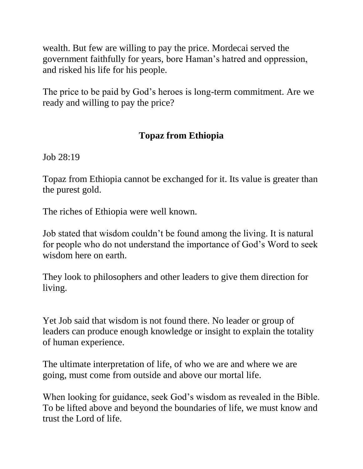wealth. But few are willing to pay the price. Mordecai served the government faithfully for years, bore Haman's hatred and oppression, and risked his life for his people.

The price to be paid by God's heroes is long-term commitment. Are we ready and willing to pay the price?

# **Topaz from Ethiopia**

Job 28:19

Topaz from Ethiopia cannot be exchanged for it. Its value is greater than the purest gold.

The riches of Ethiopia were well known.

Job stated that wisdom couldn't be found among the living. It is natural for people who do not understand the importance of God's Word to seek wisdom here on earth.

They look to philosophers and other leaders to give them direction for living.

Yet Job said that wisdom is not found there. No leader or group of leaders can produce enough knowledge or insight to explain the totality of human experience.

The ultimate interpretation of life, of who we are and where we are going, must come from outside and above our mortal life.

When looking for guidance, seek God's wisdom as revealed in the Bible. To be lifted above and beyond the boundaries of life, we must know and trust the Lord of life.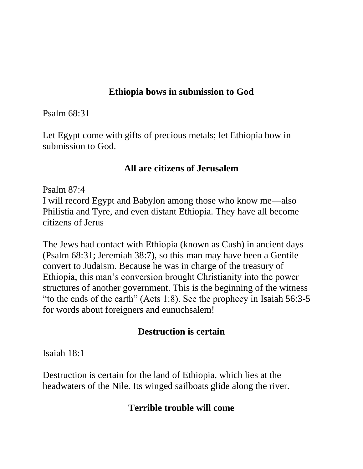## **Ethiopia bows in submission to God**

Psalm 68:31

Let Egypt come with gifts of precious metals; let Ethiopia bow in submission to God.

## **All are citizens of Jerusalem**

Psalm 87:4

I will record Egypt and Babylon among those who know me—also Philistia and Tyre, and even distant Ethiopia. They have all become citizens of Jerus

The Jews had contact with Ethiopia (known as Cush) in ancient days (Psalm 68:31; Jeremiah 38:7), so this man may have been a Gentile convert to Judaism. Because he was in charge of the treasury of Ethiopia, this man's conversion brought Christianity into the power structures of another government. This is the beginning of the witness "to the ends of the earth" (Acts 1:8). See the prophecy in Isaiah 56:3-5 for words about foreigners and eunuchsalem!

## **Destruction is certain**

Isaiah 18:1

Destruction is certain for the land of Ethiopia, which lies at the headwaters of the Nile. Its winged sailboats glide along the river.

# **Terrible trouble will come**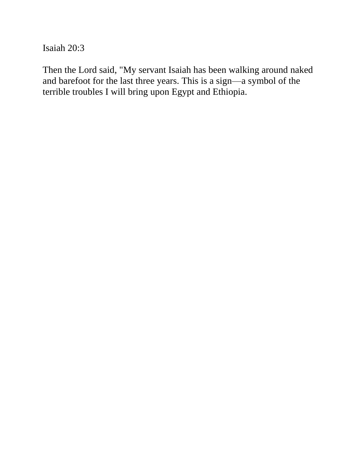Isaiah 20:3

Then the Lord said, "My servant Isaiah has been walking around naked and barefoot for the last three years. This is a sign—a symbol of the terrible troubles I will bring upon Egypt and Ethiopia.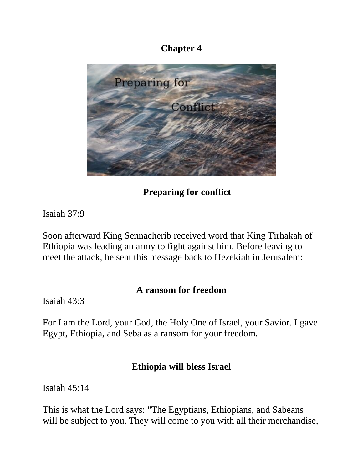

**Preparing for conflict**

Isaiah 37:9

Soon afterward King Sennacherib received word that King Tirhakah of Ethiopia was leading an army to fight against him. Before leaving to meet the attack, he sent this message back to Hezekiah in Jerusalem:

## **A ransom for freedom**

Isaiah 43:3

For I am the Lord, your God, the Holy One of Israel, your Savior. I gave Egypt, Ethiopia, and Seba as a ransom for your freedom.

#### **Ethiopia will bless Israel**

Isaiah 45:14

This is what the Lord says: "The Egyptians, Ethiopians, and Sabeans will be subject to you. They will come to you with all their merchandise,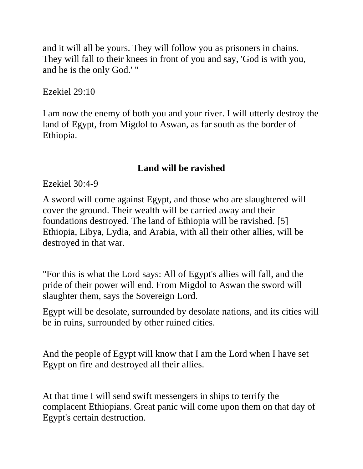and it will all be yours. They will follow you as prisoners in chains. They will fall to their knees in front of you and say, 'God is with you, and he is the only God.' "

Ezekiel 29:10

I am now the enemy of both you and your river. I will utterly destroy the land of Egypt, from Migdol to Aswan, as far south as the border of Ethiopia.

# **Land will be ravished**

Ezekiel 30:4-9

A sword will come against Egypt, and those who are slaughtered will cover the ground. Their wealth will be carried away and their foundations destroyed. The land of Ethiopia will be ravished. [5] Ethiopia, Libya, Lydia, and Arabia, with all their other allies, will be destroyed in that war.

"For this is what the Lord says: All of Egypt's allies will fall, and the pride of their power will end. From Migdol to Aswan the sword will slaughter them, says the Sovereign Lord.

Egypt will be desolate, surrounded by desolate nations, and its cities will be in ruins, surrounded by other ruined cities.

And the people of Egypt will know that I am the Lord when I have set Egypt on fire and destroyed all their allies.

At that time I will send swift messengers in ships to terrify the complacent Ethiopians. Great panic will come upon them on that day of Egypt's certain destruction.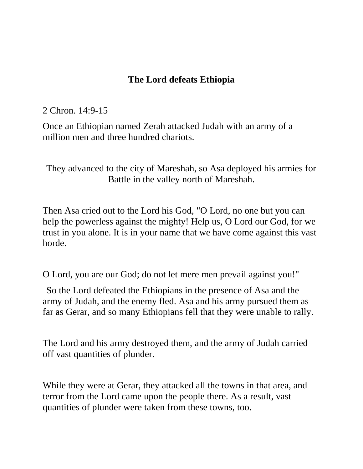## **The Lord defeats Ethiopia**

#### 2 Chron. 14:9-15

Once an Ethiopian named Zerah attacked Judah with an army of a million men and three hundred chariots.

They advanced to the city of Mareshah, so Asa deployed his armies for Battle in the valley north of Mareshah.

Then Asa cried out to the Lord his God, "O Lord, no one but you can help the powerless against the mighty! Help us, O Lord our God, for we trust in you alone. It is in your name that we have come against this vast horde.

O Lord, you are our God; do not let mere men prevail against you!"

So the Lord defeated the Ethiopians in the presence of Asa and the army of Judah, and the enemy fled. Asa and his army pursued them as far as Gerar, and so many Ethiopians fell that they were unable to rally.

The Lord and his army destroyed them, and the army of Judah carried off vast quantities of plunder.

While they were at Gerar, they attacked all the towns in that area, and terror from the Lord came upon the people there. As a result, vast quantities of plunder were taken from these towns, too.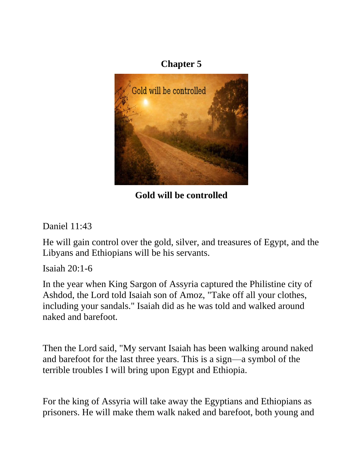

**Gold will be controlled**

Daniel 11:43

He will gain control over the gold, silver, and treasures of Egypt, and the Libyans and Ethiopians will be his servants.

Isaiah 20:1-6

In the year when King Sargon of Assyria captured the Philistine city of Ashdod, the Lord told Isaiah son of Amoz, "Take off all your clothes, including your sandals." Isaiah did as he was told and walked around naked and barefoot.

Then the Lord said, "My servant Isaiah has been walking around naked and barefoot for the last three years. This is a sign—a symbol of the terrible troubles I will bring upon Egypt and Ethiopia.

For the king of Assyria will take away the Egyptians and Ethiopians as prisoners. He will make them walk naked and barefoot, both young and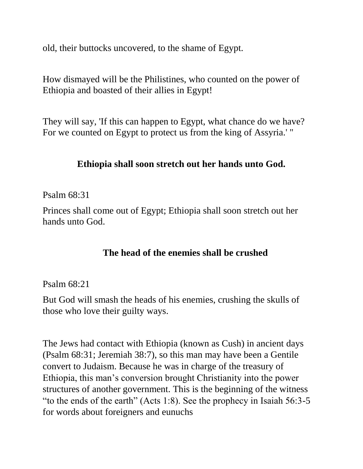old, their buttocks uncovered, to the shame of Egypt.

How dismayed will be the Philistines, who counted on the power of Ethiopia and boasted of their allies in Egypt!

They will say, 'If this can happen to Egypt, what chance do we have? For we counted on Egypt to protect us from the king of Assyria.' "

#### **Ethiopia shall soon stretch out her hands unto God.**

#### Psalm 68:31

Princes shall come out of Egypt; Ethiopia shall soon stretch out her hands unto God.

#### **The head of the enemies shall be crushed**

#### Psalm 68:21

But God will smash the heads of his enemies, crushing the skulls of those who love their guilty ways.

The Jews had contact with Ethiopia (known as Cush) in ancient days (Psalm 68:31; Jeremiah 38:7), so this man may have been a Gentile convert to Judaism. Because he was in charge of the treasury of Ethiopia, this man's conversion brought Christianity into the power structures of another government. This is the beginning of the witness "to the ends of the earth" (Acts 1:8). See the prophecy in Isaiah 56:3-5 for words about foreigners and eunuchs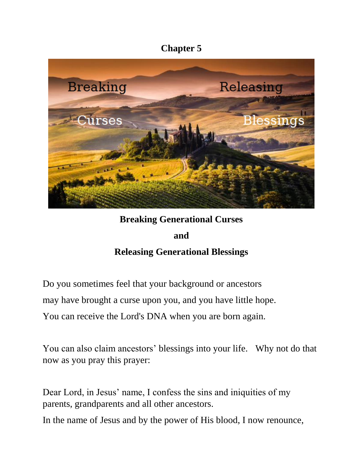

# **Breaking Generational Curses and Releasing Generational Blessings**

Do you sometimes feel that your background or ancestors may have brought a curse upon you, and you have little hope.

You can receive the Lord's DNA when you are born again.

You can also claim ancestors' blessings into your life. Why not do that now as you pray this prayer:

Dear Lord, in Jesus' name, I confess the sins and iniquities of my parents, grandparents and all other ancestors.

In the name of Jesus and by the power of His blood, I now renounce,